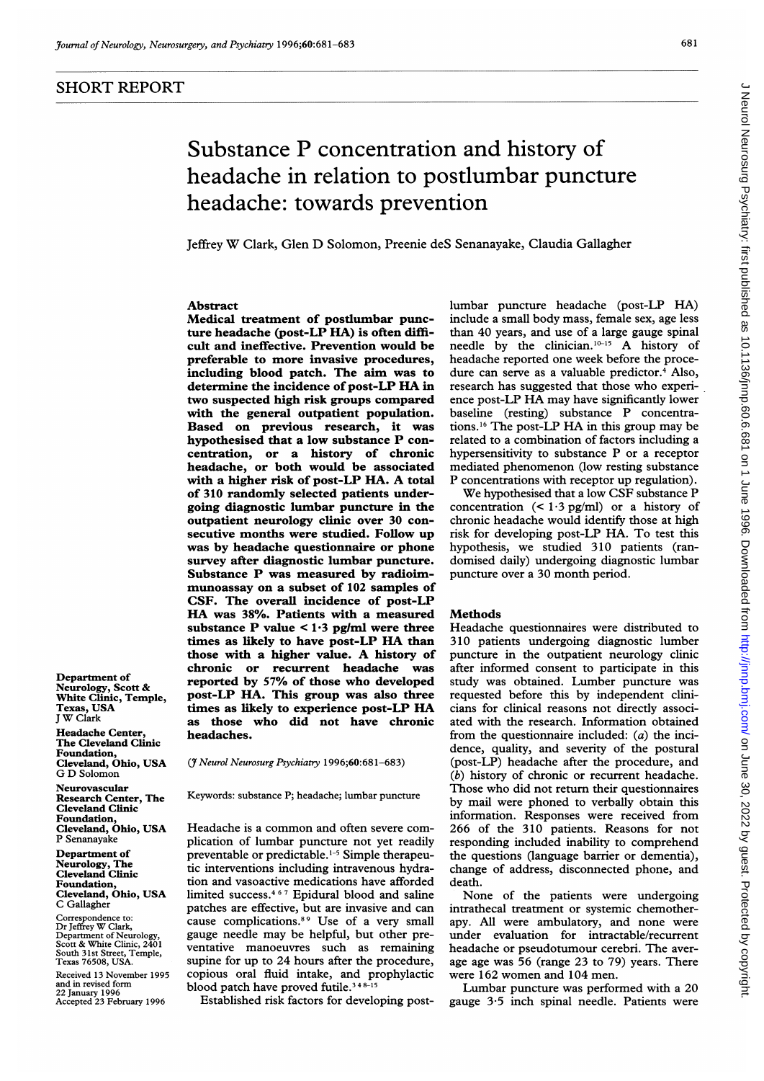Department of Neurology, Scott & White Clinic, Temple,

Cleveland, Ohio, USA

Cleveland, Ohio, USA

Cleveland, Ohio, USA

Correspondence to: Dr Jeffrey W Clark, Department of Neurology, Scott & White Clinic, 2401 South 31st Street, Temple,

Texas 76508, USA. Received 13 November 1995 and in revised form 22 January 1996 Accepted 23 February 1996

Texas, USA <sup>J</sup> W Clark Headache Center, The Cleveland Clinic Foundation,

G D Solomon Neurovascular Research Center, The Cleveland Clinic Foundation,

P Senanayake Department of Neurology, The Cleveland Clinic Foundation,

C Gallagher

#### 681

# Substance P concentration and history of headache in relation to postlumbar puncture Jeffrey W Clark, Glen D Solomon, Preenie deS Senanayake, Claudia Gallagher lumbar puncture headache (post-LP HA) include a small body mass, female sex, age less than 40 years, and use of a large gauge spinal needle by the clinician.<sup>10-15</sup> A history of headache reported one week before the procedure can serve as a valuable predictor.<sup>4</sup> Also, research has suggested that those who experience post-LP HA may have significantly lower baseline (resting) substance P concentrations.'6 The post-LP HA in this group may be related to a combination of factors including a hypersensitivity to substance P or a receptor mediated phenomenon (low resting substance P concentrations with receptor up regulation).

We hypothesised that <sup>a</sup> low CSF substance P concentration  $(< 1.3 \text{ pg/ml})$  or a history of chronic headache would identify those at high risk for developing post-LP HA. To test this hypothesis, we studied 310 patients (randomised daily) undergoing diagnostic lumbar puncture over a 30 month period.

### **Methods**

Headache questionnaires were distributed to 310 patients undergoing diagnostic lumber puncture in the outpatient neurology clinic after informed consent to participate in this study was obtained. Lumber puncture was requested before this by independent clinicians for clinical reasons not directly associated with the research. Information obtained from the questionnaire included:  $(a)$  the incidence, quality, and severity of the postural (post-LP) headache after the procedure, and (b) history of chronic or recurrent headache. Those who did not return their questionnaires by mail were phoned to verbally obtain this information. Responses were received from 266 of the 310 patients. Reasons for not responding included inability to comprehend the questions (language barrier or dementia), change of address, disconnected phone, and death.

None of the patients were undergoing intrathecal treatment or systemic chemotherapy. All were ambulatory, and none were under evaluation for intractable/recurrent headache or pseudotumour cerebri. The average age was 56 (range 23 to 79) years. There were 162 women and 104 men.

Lumbar puncture was performed with a 20 gauge 3-5 inch spinal needle. Patients were

Abstract

ture headache (post-LP HA) is often difficult and ineffective. Prevention would be preferable to more invasive procedures, including blood patch. The aim was to determine the incidence of post-LP HA in two suspected high risk groups compared with the general outpatient population. Based on previous research, it was hypothesised that a low substance P concentration, or a history of chronic headache, or both would be associated with <sup>a</sup> higher risk of post-LP HA. A total of 310 randomly selected patients undergoing diagnostic lumbar puncture in the outpatient neurology clinic over 30 consecutive months were studied. Follow up was by headache questionnaire or phone survey after diagnostic lumbar puncture. Substance P was measured by radioimmunoassay on a subset of 102 samples of CSF. The overall incidence of post-LP HA was 38%. Patients with <sup>a</sup> measured substance P value  $\lt 1.3$  pg/ml were three times as likely to have post-LP HA than those with <sup>a</sup> higher value. A history of chronic or recurrent headache was reported by 57% of those who developed post-LP HA. This group was also three times as likely to experience post-LP HA as those who did not have chronic headaches.

Medical treatment of postlumbar punc-

headache: towards prevention

(3 Neurol Neurosurg Psychiatry 1996;60:681-683)

Keywords: substance P; headache; lumbar puncture

Headache is <sup>a</sup> common and often severe complication of lumbar puncture not yet readily preventable or predictable.1-5 Simple therapeutic interventions including intravenous hydration and vasoactive medications have afforded limited success.4 <sup>67</sup> Epidural blood and saline patches are effective, but are invasive and can cause complications.89 Use of a very small gauge needle may be helpful, but other preventative manoeuvres such as remaining supine for up to 24 hours after the procedure, copious oral fluid intake, and prophylactic blood patch have proved futile.<sup>348-15</sup>

Established risk factors for developing post-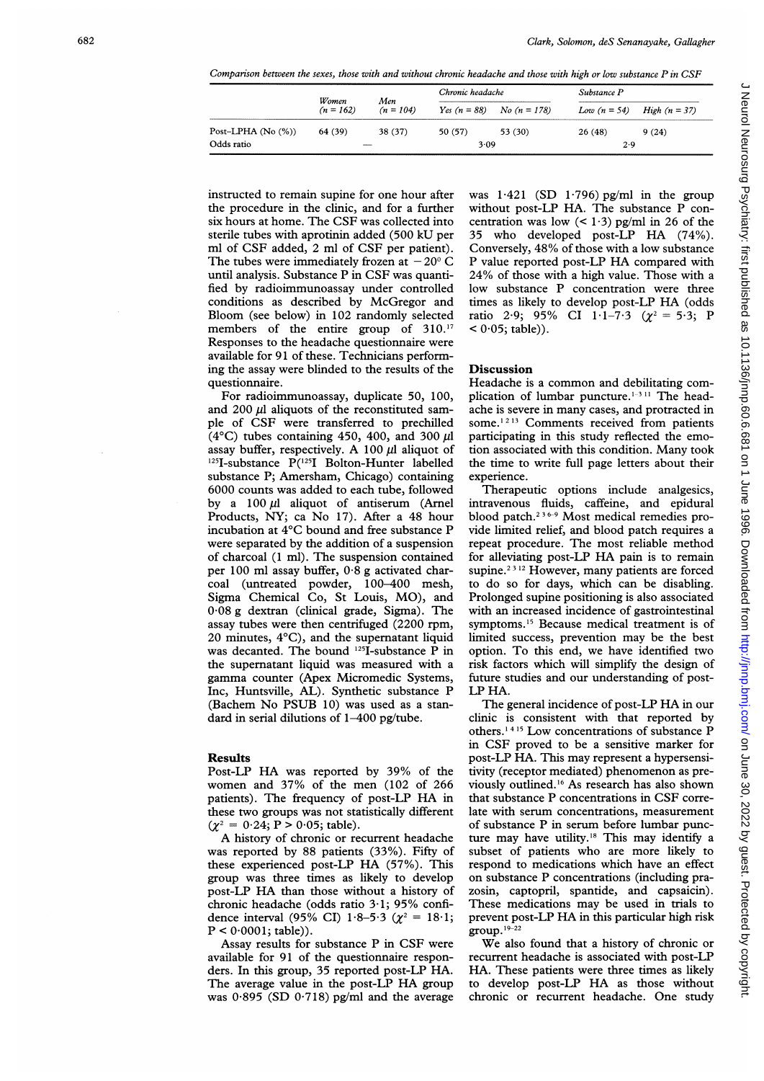Comparison between the sexes, those with and without chronic headache and those with high or low substance  $P$  in CSF

|                        | Women<br>$(n = 162)$          | Men<br>$(n = 104)$ | Chronic headache |                               | Substance P    |                        |
|------------------------|-------------------------------|--------------------|------------------|-------------------------------|----------------|------------------------|
|                        |                               |                    |                  | Yes $(n = 88)$ No $(n = 178)$ | Low $(n = 54)$ | <i>High</i> $(n = 37)$ |
| Post-LPHA (No $(\%)$ ) | 64 (39)                       | 38 (37)            | 50 (57)          | 53 (30)                       | 26(48)         | 9(24)                  |
| Odds ratio             | <b><i><u>STARTING</u></i></b> |                    | 3.09             |                               | 2.9            |                        |

instructed to remain supine for one hour after the procedure in the clinic, and for a further six hours at home. The CSF was collected into sterile tubes with aprotinin added (500 kU per ml of CSF added, 2 ml of CSF per patient). The tubes were immediately frozen at  $-20^{\circ}$  C until analysis. Substance P in CSF was quantified by radioimmunoassay under controlled conditions as described by McGregor and Bloom (see below) in 102 randomly selected members of the entire group of 310.<sup>17</sup> Responses to the headache questionnaire were available for 91 of these. Technicians performing the assay were blinded to the results of the questionnaire.

For radioimmunoassay, duplicate 50, 100, and 200  $\mu$ l aliquots of the reconstituted sample of CSF were transferred to prechilled (4 $^{\circ}$ C) tubes containing 450, 400, and 300  $\mu$ l assay buffer, respectively. A 100  $\mu$ l aliquot of  $125$ I-substance P( $125$ I Bolton-Hunter labelled substance P; Amersham, Chicago) containing 6000 counts was added to each tube, followed by a  $100 \mu l$  aliquot of antiserum (Arnel Products, NY; ca No 17). After a 48 hour incubation at 4°C bound and free substance P were separated by the addition of a suspension of charcoal (1 ml). The suspension contained per 100 ml assay buffer, 0-8 g activated charcoal (untreated powder, 100-400 mesh, Sigma Chemical Co, St Louis, MO), and 0-08 g dextran (clinical grade, Sigma). The assay tubes were then centrifuged (2200 rpm, 20 minutes, 4°C), and the supematant liquid was decanted. The bound 125I-substance P in the supematant liquid was measured with a gamma counter (Apex Micromedic Systems, Inc, Huntsville, AL). Synthetic substance P (Bachem No PSUB 10) was used as a standard in serial dilutions of 1-400 pg/tube.

#### Results

Post-LP HA was reported by 39% of the women and 37% of the men (102 of 266 patients). The frequency of post-LP HA in these two groups was not statistically different  $(\chi^2 = 0.24; P > 0.05;$  table).

A history of chronic or recurrent headache was reported by 88 patients (33%). Fifty of these experienced post-LP HA (57%). This group was three times as likely to develop post-LP HA than those without a history of chronic headache (odds ratio 3.1; 95% confidence interval (95% CI) 1.8–5.3 ( $\chi^2 = 18.1$ ;  $P < 0.0001$ ; table)).

Assay results for substance P in CSF were available for 91 of the questionnaire responders. In this group, 35 reported post-LP HA. The average value in the post-LP HA group was 0-895 (SD 0-718) pg/ml and the average was  $1.421$  (SD  $1.796$ ) pg/ml in the group without post-LP HA. The substance P concentration was low  $(< 1.3$ ) pg/ml in 26 of the <sup>35</sup> who developed post-LP HA (74%). Conversely, 48% of those with a low substance P value reported post-LP HA compared with 24% of those with a high value. Those with a low substance P concentration were three times as likely to develop post-LP HA (odds ratio 2.9; 95% CI 1.1-7.3 ( $\chi^2 = 5.3$ ; P  $(0.05;$  table)).

#### Discussion

Headache is <sup>a</sup> common and debilitating complication of lumbar puncture.<sup>1-3 11</sup> The headache is severe in many cases, and protracted in some.<sup>1213</sup> Comments received from patients participating in this study reflected the emotion associated with this condition. Many took the time to write full page letters about their experience.

Therapeutic options include analgesics, intravenous fluids, caffeine, and epidural blood patch.<sup>236-9</sup> Most medical remedies provide limited relief, and blood patch requires a repeat procedure. The most reliable method for alleviating post-LP HA pain is to remain supine.<sup>2312</sup> However, many patients are forced to do so for days, which can be disabling. Prolonged supine positioning is also associated with an increased incidence of gastrointestinal symptoms.'5 Because medical treatment is of limited success, prevention may be the best option. To this end, we have identified two risk factors which will simplify the design of future studies and our understanding of post-LP HA.

The general incidence of post-LP HA in our clinic is consistent with that reported by others.<sup>1415</sup> Low concentrations of substance P in CSF proved to be a sensitive marker for post-LP HA. This may represent a hypersensitivity (receptor mediated) phenomenon as previously outlined.'6 As research has also shown that substance P concentrations in CSF correlate with serum concentrations, measurement of substance P in serum before lumbar puncture may have utility.'8 This may identify <sup>a</sup> subset of patients who are more likely to respond to medications which have an effect on substance P concentrations (including prazosin, captopril, spantide, and capsaicin). These medications may be used in trials to prevent post-LP HA in this particular high risk  $\text{group.}^{19-22}$ 

We also found that a history of chronic or recurrent headache is associated with post-LP HA. These patients were three times as likely to develop post-LP HA as those without chronic or recurrent headache. One study